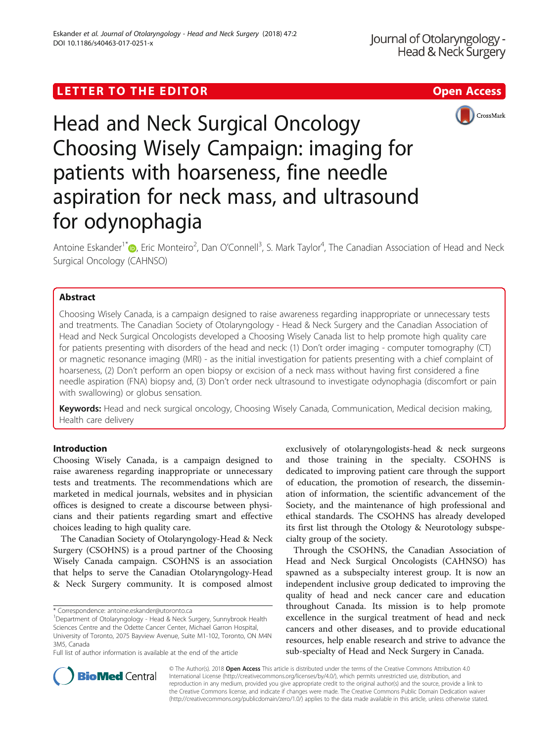# **LETTER TO THE EDITOR CONSIDERING ACCESS**





Head and Neck Surgical Oncology Choosing Wisely Campaign: imaging for patients with hoarseness, fine needle aspiration for neck mass, and ultrasound for odynophagia

Antoine Eskander<sup>1\*</sup>®, Eric Monteiro<sup>2</sup>, Dan O'Connell<sup>3</sup>, S. Mark Taylor<sup>4</sup>, The Canadian Association of Head and Neck Surgical Oncology (CAHNSO)

# Abstract

Choosing Wisely Canada, is a campaign designed to raise awareness regarding inappropriate or unnecessary tests and treatments. The Canadian Society of Otolaryngology - Head & Neck Surgery and the Canadian Association of Head and Neck Surgical Oncologists developed a Choosing Wisely Canada list to help promote high quality care for patients presenting with disorders of the head and neck: (1) Don't order imaging - computer tomography (CT) or magnetic resonance imaging (MRI) - as the initial investigation for patients presenting with a chief complaint of hoarseness, (2) Don't perform an open biopsy or excision of a neck mass without having first considered a fine needle aspiration (FNA) biopsy and, (3) Don't order neck ultrasound to investigate odynophagia (discomfort or pain with swallowing) or globus sensation.

Keywords: Head and neck surgical oncology, Choosing Wisely Canada, Communication, Medical decision making, Health care delivery

# Introduction

Choosing Wisely Canada, is a campaign designed to raise awareness regarding inappropriate or unnecessary tests and treatments. The recommendations which are marketed in medical journals, websites and in physician offices is designed to create a discourse between physicians and their patients regarding smart and effective choices leading to high quality care.

The Canadian Society of Otolaryngology-Head & Neck Surgery (CSOHNS) is a proud partner of the Choosing Wisely Canada campaign. CSOHNS is an association that helps to serve the Canadian Otolaryngology-Head & Neck Surgery community. It is composed almost

\* Correspondence: [antoine.eskander@utoronto.ca](mailto:antoine.eskander@utoronto.ca) <sup>1</sup>

exclusively of otolaryngologists-head & neck surgeons and those training in the specialty. CSOHNS is dedicated to improving patient care through the support of education, the promotion of research, the dissemination of information, the scientific advancement of the Society, and the maintenance of high professional and ethical standards. The CSOHNS has already developed its first list through the Otology & Neurotology subspecialty group of the society.

Through the CSOHNS, the Canadian Association of Head and Neck Surgical Oncologists (CAHNSO) has spawned as a subspecialty interest group. It is now an independent inclusive group dedicated to improving the quality of head and neck cancer care and education throughout Canada. Its mission is to help promote excellence in the surgical treatment of head and neck cancers and other diseases, and to provide educational resources, help enable research and strive to advance the sub-specialty of Head and Neck Surgery in Canada.



© The Author(s). 2018 Open Access This article is distributed under the terms of the Creative Commons Attribution 4.0 International License [\(http://creativecommons.org/licenses/by/4.0/](http://creativecommons.org/licenses/by/4.0/)), which permits unrestricted use, distribution, and reproduction in any medium, provided you give appropriate credit to the original author(s) and the source, provide a link to the Creative Commons license, and indicate if changes were made. The Creative Commons Public Domain Dedication waiver [\(http://creativecommons.org/publicdomain/zero/1.0/](http://creativecommons.org/publicdomain/zero/1.0/)) applies to the data made available in this article, unless otherwise stated.

Department of Otolaryngology - Head & Neck Surgery, Sunnybrook Health Sciences Centre and the Odette Cancer Center, Michael Garron Hospital, University of Toronto, 2075 Bayview Avenue, Suite M1-102, Toronto, ON M4N

<sup>3</sup>M5, Canada Full list of author information is available at the end of the article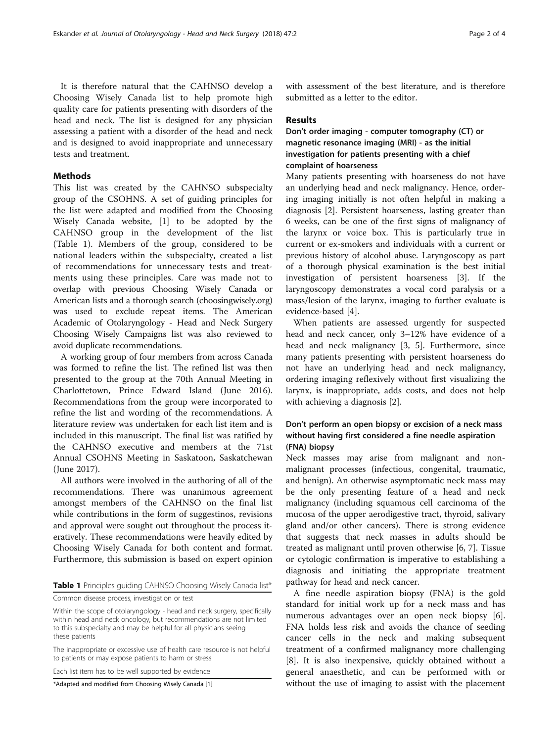It is therefore natural that the CAHNSO develop a Choosing Wisely Canada list to help promote high quality care for patients presenting with disorders of the head and neck. The list is designed for any physician assessing a patient with a disorder of the head and neck and is designed to avoid inappropriate and unnecessary tests and treatment.

### **Methods**

This list was created by the CAHNSO subspecialty group of the CSOHNS. A set of guiding principles for the list were adapted and modified from the Choosing Wisely Canada website, [[1](#page-3-0)] to be adopted by the CAHNSO group in the development of the list (Table 1). Members of the group, considered to be national leaders within the subspecialty, created a list of recommendations for unnecessary tests and treatments using these principles. Care was made not to overlap with previous Choosing Wisely Canada or American lists and a thorough search [\(choosingwisely.org](http://choosingwisely.org)) was used to exclude repeat items. The American Academic of Otolaryngology - Head and Neck Surgery Choosing Wisely Campaigns list was also reviewed to avoid duplicate recommendations.

A working group of four members from across Canada was formed to refine the list. The refined list was then presented to the group at the 70th Annual Meeting in Charlottetown, Prince Edward Island (June 2016). Recommendations from the group were incorporated to refine the list and wording of the recommendations. A literature review was undertaken for each list item and is included in this manuscript. The final list was ratified by the CAHNSO executive and members at the 71st Annual CSOHNS Meeting in Saskatoon, Saskatchewan (June 2017).

All authors were involved in the authoring of all of the recommendations. There was unanimous agreement amongst members of the CAHNSO on the final list while contributions in the form of suggestinos, revisions and approval were sought out throughout the process iteratively. These recommendations were heavily edited by Choosing Wisely Canada for both content and format. Furthermore, this submission is based on expert opinion

Table 1 Principles guiding CAHNSO Choosing Wisely Canada list\*

Common disease process, investigation or test

The inappropriate or excessive use of health care resource is not helpful to patients or may expose patients to harm or stress

Each list item has to be well supported by evidence

\*Adapted and modified from Choosing Wisely Canada [\[1\]](#page-3-0)

with assessment of the best literature, and is therefore submitted as a letter to the editor.

### Results

# Don't order imaging - computer tomography (CT) or magnetic resonance imaging (MRI) - as the initial investigation for patients presenting with a chief complaint of hoarseness

Many patients presenting with hoarseness do not have an underlying head and neck malignancy. Hence, ordering imaging initially is not often helpful in making a diagnosis [\[2](#page-3-0)]. Persistent hoarseness, lasting greater than 6 weeks, can be one of the first signs of malignancy of the larynx or voice box. This is particularly true in current or ex-smokers and individuals with a current or previous history of alcohol abuse. Laryngoscopy as part of a thorough physical examination is the best initial investigation of persistent hoarseness [[3\]](#page-3-0). If the laryngoscopy demonstrates a vocal cord paralysis or a mass/lesion of the larynx, imaging to further evaluate is evidence-based [[4\]](#page-3-0).

When patients are assessed urgently for suspected head and neck cancer, only 3–12% have evidence of a head and neck malignancy [[3, 5](#page-3-0)]. Furthermore, since many patients presenting with persistent hoarseness do not have an underlying head and neck malignancy, ordering imaging reflexively without first visualizing the larynx, is inappropriate, adds costs, and does not help with achieving a diagnosis [[2\]](#page-3-0).

## Don't perform an open biopsy or excision of a neck mass without having first considered a fine needle aspiration (FNA) biopsy

Neck masses may arise from malignant and nonmalignant processes (infectious, congenital, traumatic, and benign). An otherwise asymptomatic neck mass may be the only presenting feature of a head and neck malignancy (including squamous cell carcinoma of the mucosa of the upper aerodigestive tract, thyroid, salivary gland and/or other cancers). There is strong evidence that suggests that neck masses in adults should be treated as malignant until proven otherwise [\[6](#page-3-0), [7\]](#page-3-0). Tissue or cytologic confirmation is imperative to establishing a diagnosis and initiating the appropriate treatment pathway for head and neck cancer.

A fine needle aspiration biopsy (FNA) is the gold standard for initial work up for a neck mass and has numerous advantages over an open neck biopsy [\[6](#page-3-0)]. FNA holds less risk and avoids the chance of seeding cancer cells in the neck and making subsequent treatment of a confirmed malignancy more challenging [[8\]](#page-3-0). It is also inexpensive, quickly obtained without a general anaesthetic, and can be performed with or without the use of imaging to assist with the placement

Within the scope of otolaryngology - head and neck surgery, specifically within head and neck oncology, but recommendations are not limited to this subspecialty and may be helpful for all physicians seeing these patients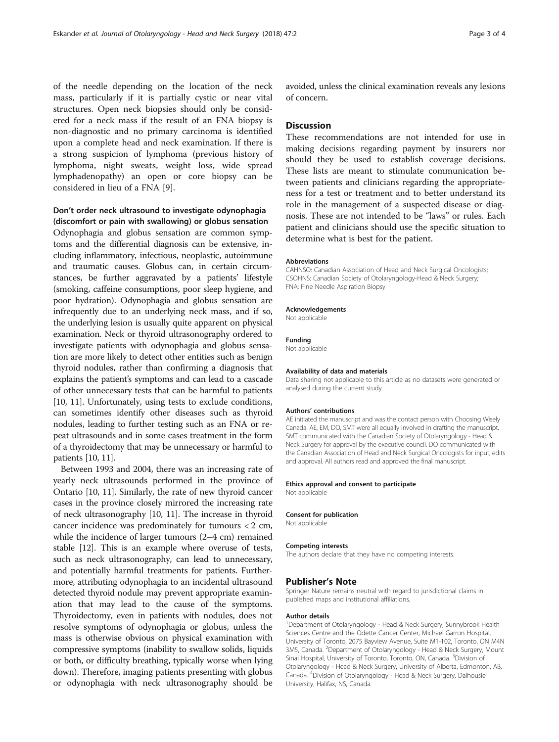of the needle depending on the location of the neck mass, particularly if it is partially cystic or near vital structures. Open neck biopsies should only be considered for a neck mass if the result of an FNA biopsy is non-diagnostic and no primary carcinoma is identified upon a complete head and neck examination. If there is a strong suspicion of lymphoma (previous history of lymphoma, night sweats, weight loss, wide spread lymphadenopathy) an open or core biopsy can be considered in lieu of a FNA [\[9](#page-3-0)].

## Don't order neck ultrasound to investigate odynophagia (discomfort or pain with swallowing) or globus sensation

Odynophagia and globus sensation are common symptoms and the differential diagnosis can be extensive, including inflammatory, infectious, neoplastic, autoimmune and traumatic causes. Globus can, in certain circumstances, be further aggravated by a patients' lifestyle (smoking, caffeine consumptions, poor sleep hygiene, and poor hydration). Odynophagia and globus sensation are infrequently due to an underlying neck mass, and if so, the underlying lesion is usually quite apparent on physical examination. Neck or thyroid ultrasonography ordered to investigate patients with odynophagia and globus sensation are more likely to detect other entities such as benign thyroid nodules, rather than confirming a diagnosis that explains the patient's symptoms and can lead to a cascade of other unnecessary tests that can be harmful to patients [[10](#page-3-0), [11\]](#page-3-0). Unfortunately, using tests to exclude conditions, can sometimes identify other diseases such as thyroid nodules, leading to further testing such as an FNA or repeat ultrasounds and in some cases treatment in the form of a thyroidectomy that may be unnecessary or harmful to patients [[10, 11\]](#page-3-0).

Between 1993 and 2004, there was an increasing rate of yearly neck ultrasounds performed in the province of Ontario [\[10, 11\]](#page-3-0). Similarly, the rate of new thyroid cancer cases in the province closely mirrored the increasing rate of neck ultrasonography [[10](#page-3-0), [11\]](#page-3-0). The increase in thyroid cancer incidence was predominately for tumours < 2 cm, while the incidence of larger tumours (2–4 cm) remained stable [\[12](#page-3-0)]. This is an example where overuse of tests, such as neck ultrasonography, can lead to unnecessary, and potentially harmful treatments for patients. Furthermore, attributing odynophagia to an incidental ultrasound detected thyroid nodule may prevent appropriate examination that may lead to the cause of the symptoms. Thyroidectomy, even in patients with nodules, does not resolve symptoms of odynophagia or globus, unless the mass is otherwise obvious on physical examination with compressive symptoms (inability to swallow solids, liquids or both, or difficulty breathing, typically worse when lying down). Therefore, imaging patients presenting with globus or odynophagia with neck ultrasonography should be

avoided, unless the clinical examination reveals any lesions of concern.

### **Discussion**

These recommendations are not intended for use in making decisions regarding payment by insurers nor should they be used to establish coverage decisions. These lists are meant to stimulate communication between patients and clinicians regarding the appropriateness for a test or treatment and to better understand its role in the management of a suspected disease or diagnosis. These are not intended to be "laws" or rules. Each patient and clinicians should use the specific situation to determine what is best for the patient.

#### Abbreviations

CAHNSO: Canadian Association of Head and Neck Surgical Oncologists; CSOHNS: Canadian Society of Otolaryngology-Head & Neck Surgery; FNA: Fine Needle Aspiration Biopsy

#### Acknowledgements

Not applicable

#### Funding

Not applicable

#### Availability of data and materials

Data sharing not applicable to this article as no datasets were generated or analysed during the current study.

#### Authors' contributions

AE initiated the manuscript and was the contact person with Choosing Wisely Canada. AE, EM, DO, SMT were all equally involved in drafting the manuscript. SMT communicated with the Canadian Society of Otolaryngology - Head & Neck Surgery for approval by the executive council. DO communicated with the Canadian Association of Head and Neck Surgical Oncologists for input, edits and approval. All authors read and approved the final manuscript.

#### Ethics approval and consent to participate Not applicable

#### Consent for publication Not applicable

### Competing interests

The authors declare that they have no competing interests.

### Publisher's Note

Springer Nature remains neutral with regard to jurisdictional claims in published maps and institutional affiliations.

#### Author details

<sup>1</sup>Department of Otolaryngology - Head & Neck Surgery, Sunnybrook Health Sciences Centre and the Odette Cancer Center, Michael Garron Hospital, University of Toronto, 2075 Bayview Avenue, Suite M1-102, Toronto, ON M4N 3M5, Canada. <sup>2</sup>Department of Otolaryngology - Head & Neck Surgery, Mount Sinai Hospital, University of Toronto, Toronto, ON, Canada. <sup>3</sup>Division of Otolaryngology - Head & Neck Surgery, University of Alberta, Edmonton, AB, Canada. <sup>4</sup> Division of Otolaryngology - Head & Neck Surgery, Dalhousie University, Halifax, NS, Canada.